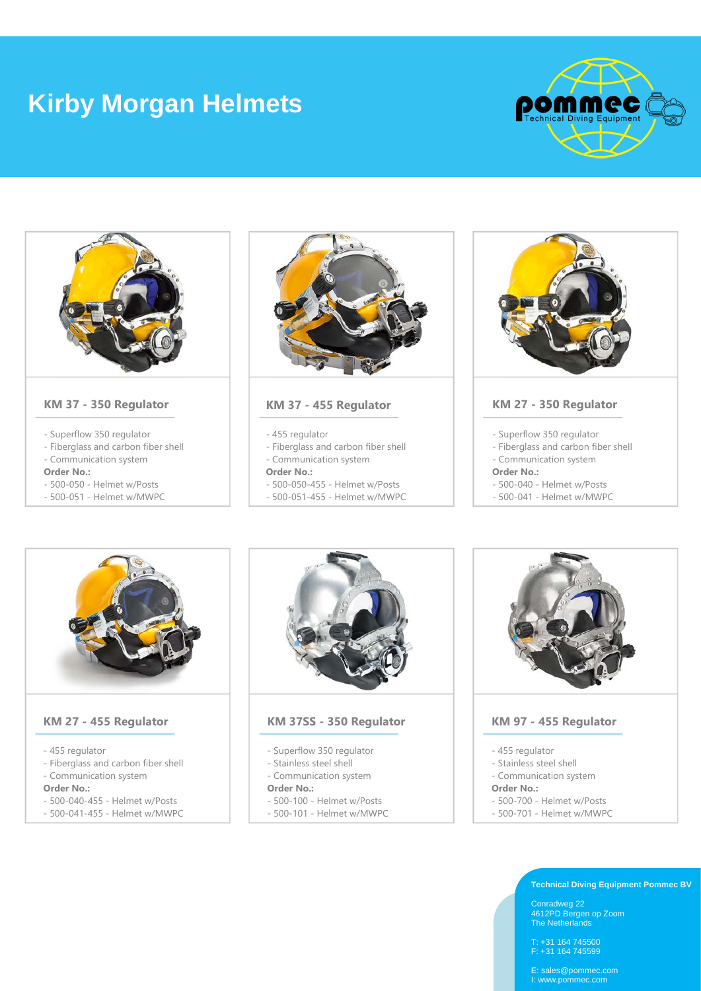# **Kirby Morgan Helmets**





- 
- Communication system
- **Order No.:**
- 500-050 Helmet w/Posts
- 500-051 Helmet w/MWPC



**KM 37 - 455 Regulator**

- 455 regulator
- Fiberglass and carbon fiber shell
- Communication system
- **Order No.:**
- 500-050-455 Helmet w/Posts
- 500-051-455 Helmet w/MWPC



# **KM 27 - 350 Regulator**

- Superflow 350 regulator
- Fiberglass and carbon fiber shell - Communication system
- **Order No.:**
- 
- 500-040 Helmet w/Posts
- 500-041 Helmet w/MWPC



# **KM 27 - 455 Regulator**

- 455 regulator
- Fiberglass and carbon fiber shell
- Communication system
- **Order No.:**
- 500-040-455 Helmet w/Posts
- 500-041-455 Helmet w/MWPC



# **KM 37SS - 350 Regulator**

- Superflow 350 regulator
- Stainless steel shell
- Communication system

#### **Order No.:**

- 500-100 Helmet w/Posts
- 500-101 Helmet w/MWPC



# **KM 97 - 455 Regulator**

- 455 regulator
- Stainless steel shell
- Communication system

#### **Order No.:**

- 500-700 Helmet w/Posts
- 500-701 Helmet w/MWPC

## **Technical Diving Equipment Pommec BV**

Conradweg 22 4612PD Bergen op Zoom The Netherlands

T: +31 164 745500 F: +31 164 745599

E: sales@pommec.com I: www.pommec.com